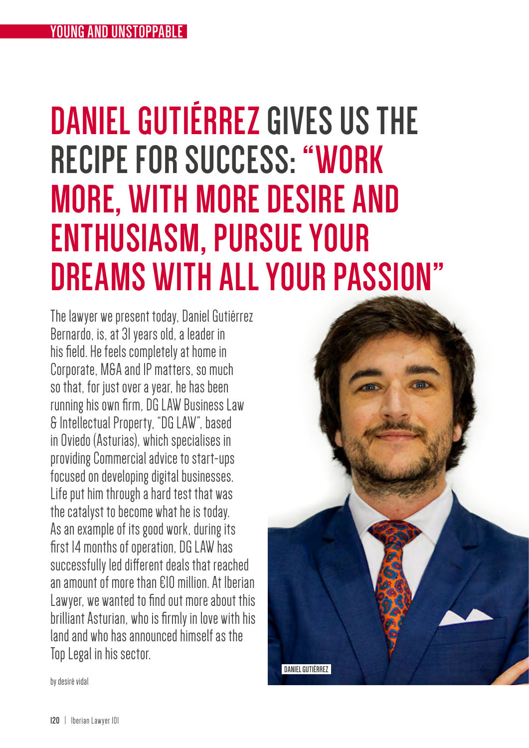# **DANIEL GUTIÉRREZ GIVES US THE RECIPE FOR SUCCESS: "WORK MORE, WITH MORE DESIRE AND ENTHUSIASM, PURSUE YOUR DREAMS WITH ALL YOUR PASSION"**

The lawyer we present today, Daniel Gutiérrez Bernardo, is, at 31 years old, a leader in his field. He feels completely at home in Corporate, M&A and IP matters, so much so that, for just over a year, he has been running his own firm, DG LAW Business Law & Intellectual Property, "DG LAW", based in Oviedo (Asturias), which specialises in providing Commercial advice to start-ups focused on developing digital businesses. Life put him through a hard test that was the catalyst to become what he is today. As an example of its good work, during its first 14 months of operation, DG LAW has successfully led different deals that reached an amount of more than €10 million. At Iberian Lawyer, we wanted to find out more about this brilliant Asturian, who is firmly in love with his land and who has announced himself as the Top Legal in his sector.

**DANIEL GUTIÉRREZ** 

by desiré vidal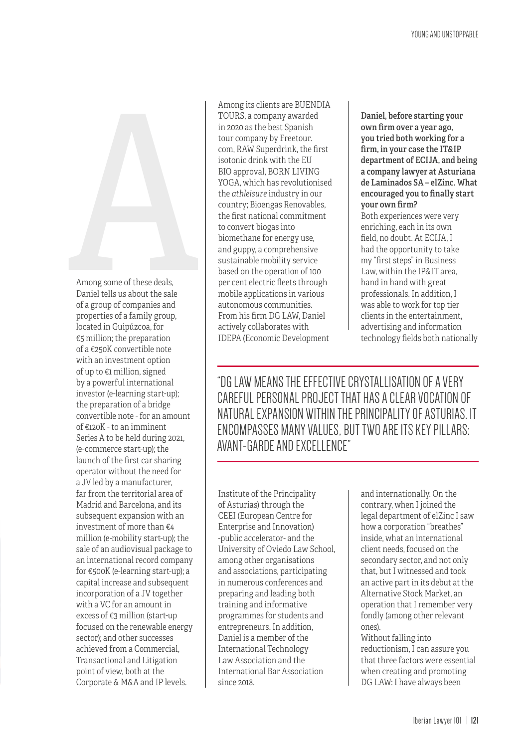

Among some of these deals, Daniel tells us about the sale of a group of companies and properties of a family group, located in Guipúzcoa, for €5 million; the preparation of a €250K convertible note with an investment option of up to €1 million, signed by a powerful international investor (e-learning start-up); the preparation of a bridge convertible note - for an amount of €120K - to an imminent Series A to be held during 2021, (e-commerce start-up); the launch of the first car sharing operator without the need for a JV led by a manufacturer, far from the territorial area of Madrid and Barcelona, and its subsequent expansion with an investment of more than €4 million (e-mobility start-up); the sale of an audiovisual package to an international record company for €500K (e-learning start-up); a capital increase and subsequent incorporation of a JV together with a VC for an amount in excess of €3 million (start-up focused on the renewable energy sector); and other successes achieved from a Commercial, Transactional and Litigation point of view, both at the Corporate & M&A and IP levels.

Among its clients are BUENDIA TOURS, a company awarded in 2020 as the best Spanish tour company by Freetour. com, RAW Superdrink, the first isotonic drink with the EU BIO approval, BORN LIVING YOGA, which has revolutionised the *athleisure* industry in our country; Bioengas Renovables, the first national commitment to convert biogas into biomethane for energy use, and guppy, a comprehensive sustainable mobility service based on the operation of 100 per cent electric fleets through mobile applications in various autonomous communities. From his firm DG LAW, Daniel actively collaborates with IDEPA (Economic Development

Daniel, before starting your own firm over a year ago, you tried both working for a firm, in your case the IT&IP department of ECIJA, and being a company lawyer at Asturiana de Laminados SA – elZinc. What encouraged you to finally start your own firm? Both experiences were very enriching, each in its own field, no doubt. At ECIJA, I had the opportunity to take my "first steps" in Business Law, within the IP&IT area, hand in hand with great professionals. In addition, I was able to work for top tier clients in the entertainment, advertising and information technology fields both nationally

"DG LAW MEANS THE EFFECTIVE CRYSTALLISATION OF A VERY CAREFUL PERSONAL PROJECT THAT HAS A CLEAR VOCATION OF NATURAL EXPANSION WITHIN THE PRINCIPALITY OF ASTURIAS. IT ENCOMPASSES MANY VALUES, BUT TWO ARE ITS KEY PILLARS: AVANT-GARDE AND EXCELLENCE"

Institute of the Principality of Asturias) through the CEEI (European Centre for Enterprise and Innovation) -public accelerator- and the University of Oviedo Law School, among other organisations and associations, participating in numerous conferences and preparing and leading both training and informative programmes for students and entrepreneurs. In addition, Daniel is a member of the International Technology Law Association and the International Bar Association since 2018.

and internationally. On the contrary, when I joined the legal department of elZinc I saw how a corporation "breathes" inside, what an international client needs, focused on the secondary sector, and not only that, but I witnessed and took an active part in its debut at the Alternative Stock Market, an operation that I remember very fondly (among other relevant ones).

Without falling into reductionism, I can assure you that three factors were essential when creating and promoting DG LAW: I have always been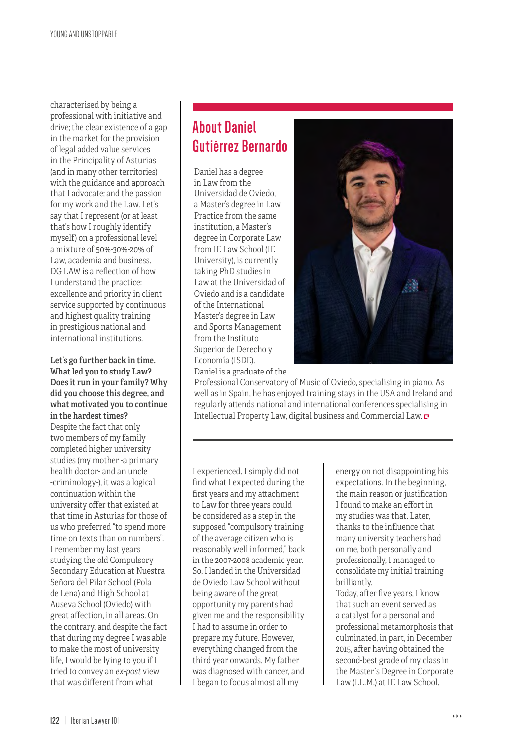characterised by being a professional with initiative and drive; the clear existence of a gap in the market for the provision of legal added value services in the Principality of Asturias (and in many other territories) with the guidance and approach that I advocate; and the passion for my work and the Law. Let's say that I represent (or at least that's how I roughly identify myself) on a professional level a mixture of 50%-30%-20% of Law, academia and business. DG LAW is a reflection of how I understand the practice: excellence and priority in client service supported by continuous and highest quality training in prestigious national and international institutions.

#### Let's go further back in time. What led you to study Law? Does it run in your family? Why did you choose this degree, and what motivated you to continue in the hardest times?

Despite the fact that only two members of my family completed higher university studies (my mother -a primary health doctor- and an uncle -criminology-), it was a logical continuation within the university offer that existed at that time in Asturias for those of us who preferred "to spend more time on texts than on numbers". I remember my last years studying the old Compulsory Secondary Education at Nuestra Señora del Pilar School (Pola de Lena) and High School at Auseva School (Oviedo) with great affection, in all areas. On the contrary, and despite the fact that during my degree I was able to make the most of university life, I would be lying to you if I tried to convey an *ex-post* view that was different from what

## **About Daniel Gutiérrez Bernardo**

Daniel has a degree in Law from the Universidad de Oviedo, a Master's degree in Law Practice from the same institution, a Master's degree in Corporate Law from IE Law School (IE University), is currently taking PhD studies in Law at the Universidad of Oviedo and is a candidate of the International Master's degree in Law and Sports Management from the Instituto Superior de Derecho y Economía (ISDE). Daniel is a graduate of the



Professional Conservatory of Music of Oviedo, specialising in piano. As well as in Spain, he has enjoyed training stays in the USA and Ireland and regularly attends national and international conferences specialising in Intellectual Property Law, digital business and Commercial Law.

I experienced. I simply did not find what I expected during the first years and my attachment to Law for three years could be considered as a step in the supposed "compulsory training of the average citizen who is reasonably well informed," back in the 2007-2008 academic year. So, I landed in the Universidad de Oviedo Law School without being aware of the great opportunity my parents had given me and the responsibility I had to assume in order to prepare my future. However, everything changed from the third year onwards. My father was diagnosed with cancer, and I began to focus almost all my

energy on not disappointing his expectations. In the beginning, the main reason or justification I found to make an effort in my studies was that. Later, thanks to the influence that many university teachers had on me, both personally and professionally, I managed to consolidate my initial training brilliantly.

Today, after five years, I know that such an event served as a catalyst for a personal and professional metamorphosis that culminated, in part, in December 2015, after having obtained the second-best grade of my class in the Master´s Degree in Corporate Law (LL.M.) at IE Law School.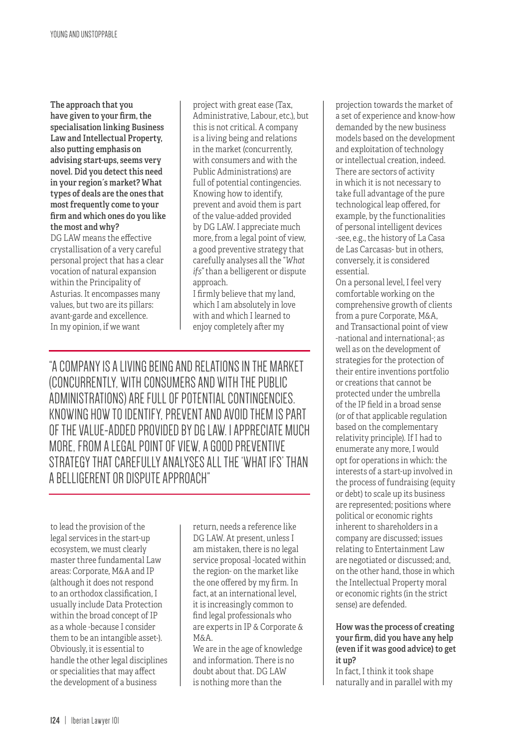The approach that you have given to your firm, the specialisation linking Business Law and Intellectual Property, also putting emphasis on advising start-ups, seems very novel. Did you detect this need in your region´s market? What types of deals are the ones that most frequently come to your firm and which ones do you like the most and why? DG LAW means the effective crystallisation of a very careful personal project that has a clear vocation of natural expansion within the Principality of

Asturias. It encompasses many values, but two are its pillars: avant-garde and excellence. In my opinion, if we want

project with great ease (Tax, Administrative, Labour, etc.), but this is not critical. A company is a living being and relations in the market (concurrently, with consumers and with the Public Administrations) are full of potential contingencies. Knowing how to identify, prevent and avoid them is part of the value-added provided by DG LAW. I appreciate much more, from a legal point of view, a good preventive strategy that carefully analyses all the "*What ifs"* than a belligerent or dispute approach.

I firmly believe that my land, which I am absolutely in love with and which I learned to enjoy completely after my

"A COMPANY IS A LIVING BEING AND RELATIONS IN THE MARKET (CONCURRENTLY, WITH CONSUMERS AND WITH THE PUBLIC ADMINISTRATIONS) ARE FULL OF POTENTIAL CONTINGENCIES. KNOWING HOW TO IDENTIFY, PREVENT AND AVOID THEM IS PART OF THE VALUE-ADDED PROVIDED BY DG LAW. I APPRECIATE MUCH MORE, FROM A LEGAL POINT OF VIEW, A GOOD PREVENTIVE STRATEGY THAT CAREFULLY ANALYSES ALL THE 'WHAT IFS' THAN A BELLIGERENT OR DISPUTE APPROACH"

to lead the provision of the legal services in the start-up ecosystem, we must clearly master three fundamental Law areas: Corporate, M&A and IP (although it does not respond to an orthodox classification, I usually include Data Protection within the broad concept of IP as a whole -because I consider them to be an intangible asset-). Obviously, it is essential to handle the other legal disciplines or specialities that may affect the development of a business

return, needs a reference like DG LAW. At present, unless I am mistaken, there is no legal service proposal -located within the region- on the market like the one offered by my firm. In fact, at an international level, it is increasingly common to find legal professionals who are experts in IP & Corporate & M&A.

We are in the age of knowledge and information. There is no doubt about that. DG LAW is nothing more than the

projection towards the market of a set of experience and know-how demanded by the new business models based on the development and exploitation of technology or intellectual creation, indeed. There are sectors of activity in which it is not necessary to take full advantage of the pure technological leap offered, for example, by the functionalities of personal intelligent devices -see, e.g., the history of La Casa de Las Carcasas- but in others, conversely, it is considered essential.

On a personal level, I feel very comfortable working on the comprehensive growth of clients from a pure Corporate, M&A, and Transactional point of view -national and international-; as well as on the development of strategies for the protection of their entire inventions portfolio or creations that cannot be protected under the umbrella of the IP field in a broad sense (or of that applicable regulation based on the complementary relativity principle). If I had to enumerate any more, I would opt for operations in which: the interests of a start-up involved in the process of fundraising (equity or debt) to scale up its business are represented; positions where political or economic rights inherent to shareholders in a company are discussed; issues relating to Entertainment Law are negotiated or discussed; and, on the other hand, those in which the Intellectual Property moral or economic rights (in the strict sense) are defended.

#### How was the process of creating your firm, did you have any help (even if it was good advice) to get it up?

In fact, I think it took shape naturally and in parallel with my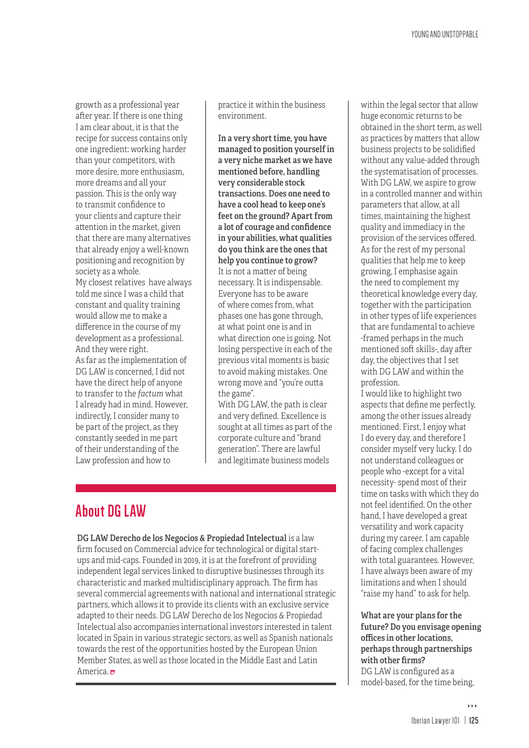growth as a professional year after year. If there is one thing I am clear about, it is that the recipe for success contains only one ingredient: working harder than your competitors, with more desire, more enthusiasm, more dreams and all your passion. This is the only way to transmit confidence to your clients and capture their attention in the market, given that there are many alternatives that already enjoy a well-known positioning and recognition by society as a whole. My closest relatives have always told me since I was a child that constant and quality training would allow me to make a difference in the course of my development as a professional. And they were right. As far as the implementation of

DG LAW is concerned, I did not have the direct help of anyone to transfer to the *factum* what I already had in mind. However, indirectly, I consider many to be part of the project, as they constantly seeded in me part of their understanding of the Law profession and how to

practice it within the business environment.

In a very short time, you have managed to position yourself in a very niche market as we have mentioned before, handling very considerable stock transactions. Does one need to have a cool head to keep one's feet on the ground? Apart from a lot of courage and confidence in your abilities, what qualities do you think are the ones that help you continue to grow? It is not a matter of being necessary. It is indispensable. Everyone has to be aware of where comes from, what phases one has gone through, at what point one is and in what direction one is going. Not losing perspective in each of the previous vital moments is basic to avoid making mistakes. One wrong move and "you're outta the game".

With DG LAW, the path is clear and very defined. Excellence is sought at all times as part of the corporate culture and "brand generation". There are lawful and legitimate business models

### **About DG LAW**

DG LAW Derecho de los Negocios & Propiedad Intelectual is a law firm focused on Commercial advice for technological or digital startups and mid-caps. Founded in 2019, it is at the forefront of providing independent legal services linked to disruptive businesses through its characteristic and marked multidisciplinary approach. The firm has several commercial agreements with national and international strategic partners, which allows it to provide its clients with an exclusive service adapted to their needs. DG LAW Derecho de los Negocios & Propiedad Intelectual also accompanies international investors interested in talent located in Spain in various strategic sectors, as well as Spanish nationals towards the rest of the opportunities hosted by the European Union Member States, as well as those located in the Middle East and Latin America.

within the legal sector that allow huge economic returns to be obtained in the short term, as well as practices by matters that allow business projects to be solidified without any value-added through the systematisation of processes. With DG LAW, we aspire to grow in a controlled manner and within parameters that allow, at all times, maintaining the highest quality and immediacy in the provision of the services offered. As for the rest of my personal qualities that help me to keep growing, I emphasise again the need to complement my theoretical knowledge every day, together with the participation in other types of life experiences that are fundamental to achieve -framed perhaps in the much mentioned soft skills-, day after day, the objectives that I set with DG LAW and within the profession.

I would like to highlight two aspects that define me perfectly, among the other issues already mentioned. First, I enjoy what I do every day, and therefore I consider myself very lucky. I do not understand colleagues or people who -except for a vital necessity- spend most of their time on tasks with which they do not feel identified. On the other hand, I have developed a great versatility and work capacity during my career. I am capable of facing complex challenges with total guarantees. However, I have always been aware of my limitations and when I should "raise my hand" to ask for help.

What are your plans for the future? Do you envisage opening offices in other locations, perhaps through partnerships with other firms? DG LAW is configured as a model-based, for the time being,

444